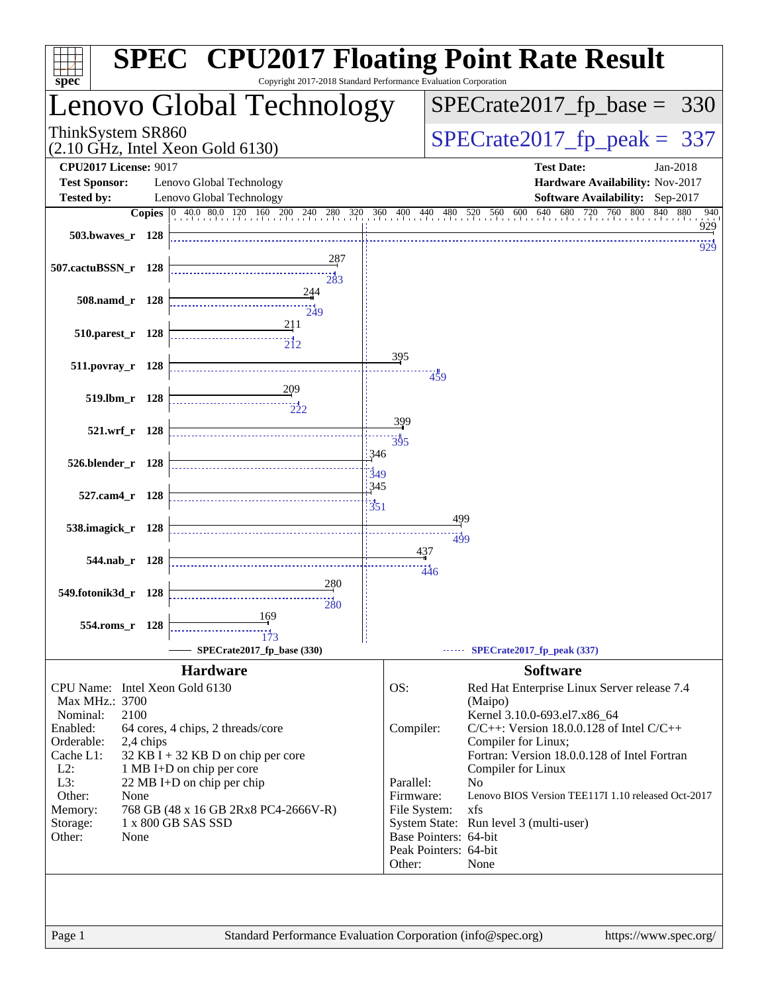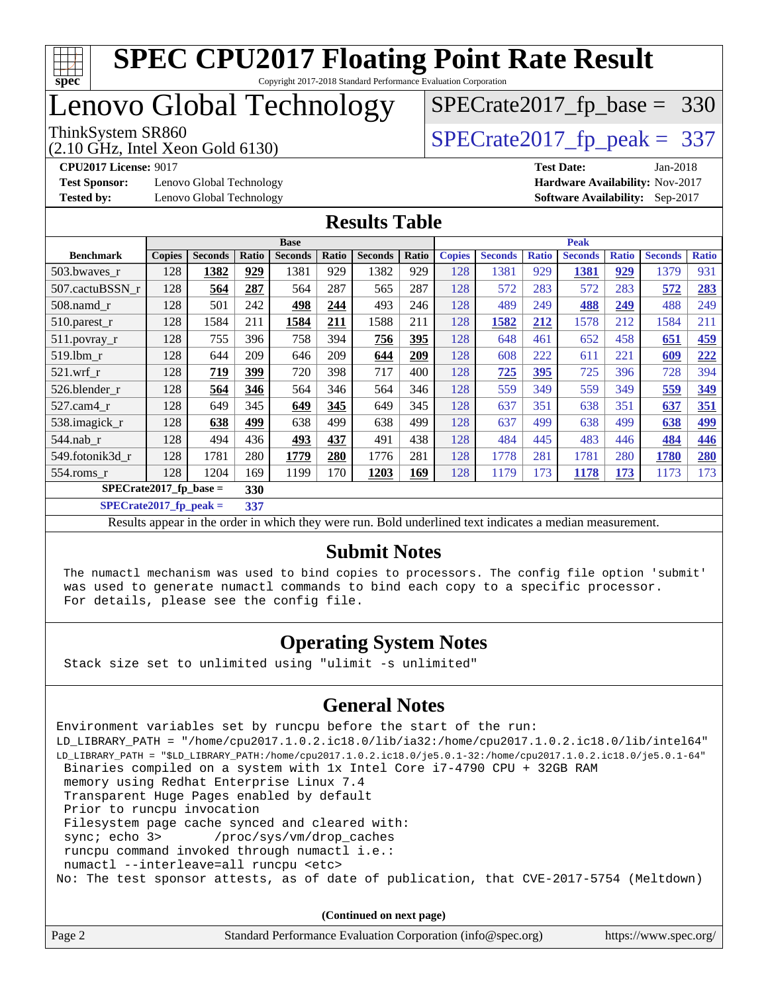

### Lenovo Global Technology

(2.10 GHz, Intel Xeon Gold 6130)

 $SPECTate2017_fp\_peak = 337$ [SPECrate2017\\_fp\\_base =](http://www.spec.org/auto/cpu2017/Docs/result-fields.html#SPECrate2017fpbase) 330

**[Test Sponsor:](http://www.spec.org/auto/cpu2017/Docs/result-fields.html#TestSponsor)** Lenovo Global Technology **[Hardware Availability:](http://www.spec.org/auto/cpu2017/Docs/result-fields.html#HardwareAvailability)** Nov-2017 **[Tested by:](http://www.spec.org/auto/cpu2017/Docs/result-fields.html#Testedby)** Lenovo Global Technology **[Software Availability:](http://www.spec.org/auto/cpu2017/Docs/result-fields.html#SoftwareAvailability)** Sep-2017

**[CPU2017 License:](http://www.spec.org/auto/cpu2017/Docs/result-fields.html#CPU2017License)** 9017 **[Test Date:](http://www.spec.org/auto/cpu2017/Docs/result-fields.html#TestDate)** Jan-2018

#### **[Results Table](http://www.spec.org/auto/cpu2017/Docs/result-fields.html#ResultsTable)**

|                          | <b>Base</b>   |                |       |                | <b>Peak</b> |                |       |               |                |              |                |              |                |              |
|--------------------------|---------------|----------------|-------|----------------|-------------|----------------|-------|---------------|----------------|--------------|----------------|--------------|----------------|--------------|
| <b>Benchmark</b>         | <b>Copies</b> | <b>Seconds</b> | Ratio | <b>Seconds</b> | Ratio       | <b>Seconds</b> | Ratio | <b>Copies</b> | <b>Seconds</b> | <b>Ratio</b> | <b>Seconds</b> | <b>Ratio</b> | <b>Seconds</b> | <b>Ratio</b> |
| 503.bwayes_r             | 128           | 1382           | 929   | 1381           | 929         | 1382           | 929   | 128           | 1381           | 929          | 1381           | 929          | 1379           | 931          |
| 507.cactuBSSN r          | 128           | 564            | 287   | 564            | 287         | 565            | 287   | 128           | 572            | 283          | 572            | 283          | 572            | 283          |
| $508$ .namd $r$          | 128           | 501            | 242   | 498            | 244         | 493            | 246   | 128           | 489            | 249          | 488            | 249          | 488            | 249          |
| 510.parest_r             | 128           | 1584           | 211   | 1584           | 211         | 1588           | 211   | 128           | 1582           | 212          | 1578           | 212          | 1584           | 211          |
| 511.povray_r             | 128           | 755            | 396   | 758            | 394         | 756            | 395   | 128           | 648            | 461          | 652            | 458          | 651            | 459          |
| 519.1bm r                | 128           | 644            | 209   | 646            | 209         | 644            | 209   | 128           | 608            | 222          | 611            | 221          | 609            | 222          |
| $521$ .wrf r             | 128           | 719            | 399   | 720            | 398         | 717            | 400   | 128           | 725            | 395          | 725            | 396          | 728            | 394          |
| 526.blender r            | 128           | 564            | 346   | 564            | 346         | 564            | 346   | 128           | 559            | 349          | 559            | 349          | 559            | 349          |
| $527.cam4_r$             | 128           | 649            | 345   | 649            | 345         | 649            | 345   | 128           | 637            | 351          | 638            | 351          | 637            | 351          |
| 538.imagick_r            | 128           | 638            | 499   | 638            | 499         | 638            | 499   | 128           | 637            | 499          | 638            | 499          | 638            | <u>499</u>   |
| 544.nab r                | 128           | 494            | 436   | 493            | 437         | 491            | 438   | 128           | 484            | 445          | 483            | 446          | 484            | 446          |
| 549.fotonik3d r          | 128           | 1781           | 280   | 1779           | 280         | 1776           | 281   | 128           | 1778           | 281          | 1781           | 280          | 1780           | 280          |
| $554$ .roms $r$          | 128           | 1204           | 169   | 1199           | 170         | 1203           | 169   | 128           | 1179           | 173          | 1178           | 173          | 1173           | 173          |
| $SPECrate2017$ fp base = |               |                | 330   |                |             |                |       |               |                |              |                |              |                |              |

**[SPECrate2017\\_fp\\_peak =](http://www.spec.org/auto/cpu2017/Docs/result-fields.html#SPECrate2017fppeak) 337**

Results appear in the [order in which they were run](http://www.spec.org/auto/cpu2017/Docs/result-fields.html#RunOrder). Bold underlined text [indicates a median measurement](http://www.spec.org/auto/cpu2017/Docs/result-fields.html#Median).

#### **[Submit Notes](http://www.spec.org/auto/cpu2017/Docs/result-fields.html#SubmitNotes)**

 The numactl mechanism was used to bind copies to processors. The config file option 'submit' was used to generate numactl commands to bind each copy to a specific processor. For details, please see the config file.

#### **[Operating System Notes](http://www.spec.org/auto/cpu2017/Docs/result-fields.html#OperatingSystemNotes)**

Stack size set to unlimited using "ulimit -s unlimited"

#### **[General Notes](http://www.spec.org/auto/cpu2017/Docs/result-fields.html#GeneralNotes)**

Environment variables set by runcpu before the start of the run: LD\_LIBRARY\_PATH = "/home/cpu2017.1.0.2.ic18.0/lib/ia32:/home/cpu2017.1.0.2.ic18.0/lib/intel64" LD\_LIBRARY\_PATH = "\$LD\_LIBRARY\_PATH:/home/cpu2017.1.0.2.ic18.0/je5.0.1-32:/home/cpu2017.1.0.2.ic18.0/je5.0.1-64" Binaries compiled on a system with 1x Intel Core i7-4790 CPU + 32GB RAM memory using Redhat Enterprise Linux 7.4 Transparent Huge Pages enabled by default Prior to runcpu invocation Filesystem page cache synced and cleared with: sync; echo 3> /proc/sys/vm/drop\_caches runcpu command invoked through numactl i.e.: numactl --interleave=all runcpu <etc> No: The test sponsor attests, as of date of publication, that CVE-2017-5754 (Meltdown)

**(Continued on next page)**

|  | Page 2 | Standard Performance Evaluation Corporation (info@spec.org) | https://www.spec.org/ |
|--|--------|-------------------------------------------------------------|-----------------------|
|--|--------|-------------------------------------------------------------|-----------------------|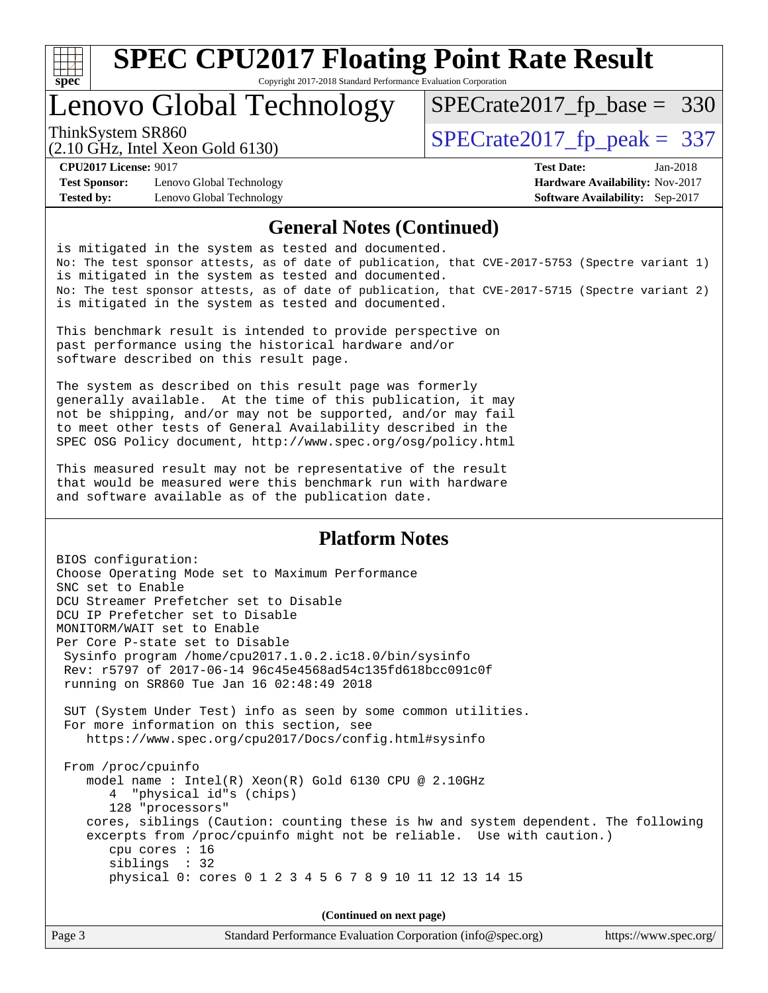

Copyright 2017-2018 Standard Performance Evaluation Corporation

### Lenovo Global Technology

ThinkSystem SR860<br>  $\frac{1}{2}$  [SPECrate2017\\_fp\\_peak =](http://www.spec.org/auto/cpu2017/Docs/result-fields.html#SPECrate2017fppeak) 337

[SPECrate2017\\_fp\\_base =](http://www.spec.org/auto/cpu2017/Docs/result-fields.html#SPECrate2017fpbase) 330

(2.10 GHz, Intel Xeon Gold 6130)

**[Test Sponsor:](http://www.spec.org/auto/cpu2017/Docs/result-fields.html#TestSponsor)** Lenovo Global Technology **[Hardware Availability:](http://www.spec.org/auto/cpu2017/Docs/result-fields.html#HardwareAvailability)** Nov-2017 **[Tested by:](http://www.spec.org/auto/cpu2017/Docs/result-fields.html#Testedby)** Lenovo Global Technology **[Software Availability:](http://www.spec.org/auto/cpu2017/Docs/result-fields.html#SoftwareAvailability)** Sep-2017

**[CPU2017 License:](http://www.spec.org/auto/cpu2017/Docs/result-fields.html#CPU2017License)** 9017 **[Test Date:](http://www.spec.org/auto/cpu2017/Docs/result-fields.html#TestDate)** Jan-2018

#### **[General Notes \(Continued\)](http://www.spec.org/auto/cpu2017/Docs/result-fields.html#GeneralNotes)**

is mitigated in the system as tested and documented. No: The test sponsor attests, as of date of publication, that CVE-2017-5753 (Spectre variant 1) is mitigated in the system as tested and documented. No: The test sponsor attests, as of date of publication, that CVE-2017-5715 (Spectre variant 2) is mitigated in the system as tested and documented.

This benchmark result is intended to provide perspective on past performance using the historical hardware and/or software described on this result page.

The system as described on this result page was formerly generally available. At the time of this publication, it may not be shipping, and/or may not be supported, and/or may fail to meet other tests of General Availability described in the SPEC OSG Policy document, <http://www.spec.org/osg/policy.html>

This measured result may not be representative of the result that would be measured were this benchmark run with hardware and software available as of the publication date.

#### **[Platform Notes](http://www.spec.org/auto/cpu2017/Docs/result-fields.html#PlatformNotes)**

BIOS configuration: Choose Operating Mode set to Maximum Performance SNC set to Enable DCU Streamer Prefetcher set to Disable DCU IP Prefetcher set to Disable MONITORM/WAIT set to Enable Per Core P-state set to Disable Sysinfo program /home/cpu2017.1.0.2.ic18.0/bin/sysinfo Rev: r5797 of 2017-06-14 96c45e4568ad54c135fd618bcc091c0f running on SR860 Tue Jan 16 02:48:49 2018 SUT (System Under Test) info as seen by some common utilities. For more information on this section, see <https://www.spec.org/cpu2017/Docs/config.html#sysinfo> From /proc/cpuinfo model name : Intel(R) Xeon(R) Gold 6130 CPU @ 2.10GHz 4 "physical id"s (chips) 128 "processors" cores, siblings (Caution: counting these is hw and system dependent. The following excerpts from /proc/cpuinfo might not be reliable. Use with caution.) cpu cores : 16 siblings : 32 physical 0: cores 0 1 2 3 4 5 6 7 8 9 10 11 12 13 14 15

**(Continued on next page)**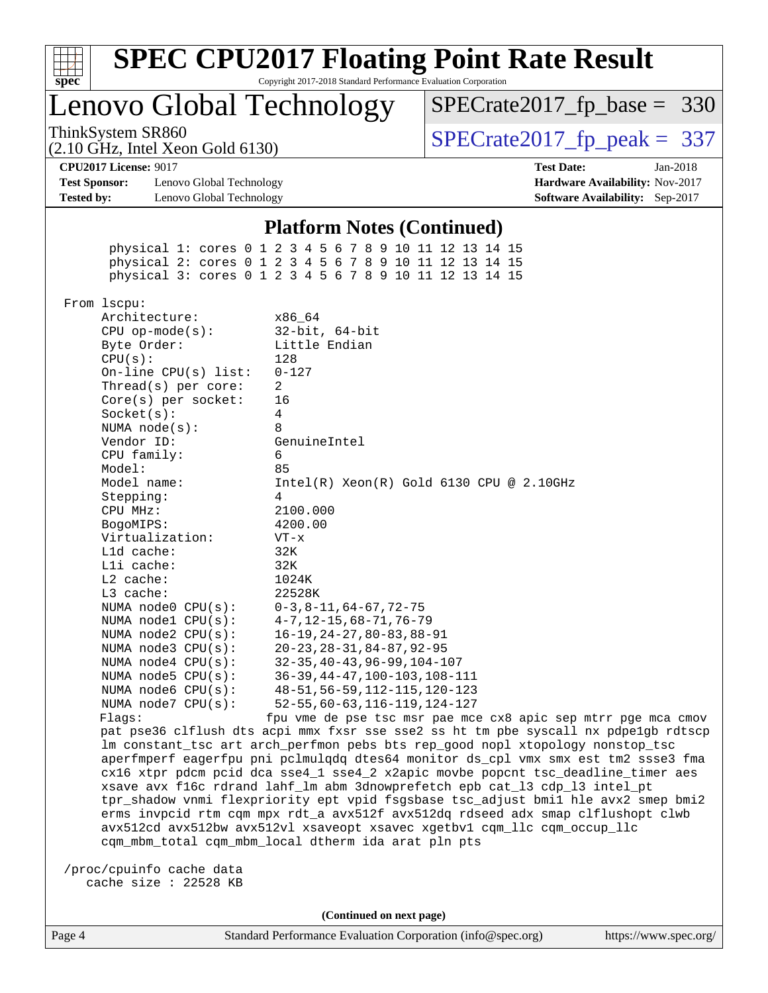

Copyright 2017-2018 Standard Performance Evaluation Corporation

Lenovo Global Technology

ThinkSystem SR860<br>(2.10 GHz, Intel Xeon Gold 6130)  $\begin{array}{r} | \text{SPECrate2017\_fp\_peak} = 337 \end{array}$ [SPECrate2017\\_fp\\_base =](http://www.spec.org/auto/cpu2017/Docs/result-fields.html#SPECrate2017fpbase) 330

(2.10 GHz, Intel Xeon Gold 6130)

**[CPU2017 License:](http://www.spec.org/auto/cpu2017/Docs/result-fields.html#CPU2017License)** 9017 **[Test Date:](http://www.spec.org/auto/cpu2017/Docs/result-fields.html#TestDate)** Jan-2018

**[Test Sponsor:](http://www.spec.org/auto/cpu2017/Docs/result-fields.html#TestSponsor)** Lenovo Global Technology **[Hardware Availability:](http://www.spec.org/auto/cpu2017/Docs/result-fields.html#HardwareAvailability)** Nov-2017 **[Tested by:](http://www.spec.org/auto/cpu2017/Docs/result-fields.html#Testedby)** Lenovo Global Technology **[Software Availability:](http://www.spec.org/auto/cpu2017/Docs/result-fields.html#SoftwareAvailability)** Sep-2017

**[Platform Notes \(Continued\)](http://www.spec.org/auto/cpu2017/Docs/result-fields.html#PlatformNotes)**

 physical 1: cores 0 1 2 3 4 5 6 7 8 9 10 11 12 13 14 15 physical 2: cores 0 1 2 3 4 5 6 7 8 9 10 11 12 13 14 15 physical 3: cores 0 1 2 3 4 5 6 7 8 9 10 11 12 13 14 15 From lscpu: Architecture: x86\_64 CPU op-mode(s): 32-bit, 64-bit Byte Order: Little Endian CPU(s): 128 On-line CPU(s) list: 0-127 Thread(s) per core: 2

 Core(s) per socket: 16 Socket(s): 4 NUMA node(s): 8 Vendor ID: GenuineIntel CPU family: 6 Model: 85 Model name: Intel(R) Xeon(R) Gold 6130 CPU @ 2.10GHz Stepping: 4 CPU MHz: 2100.000 BogoMIPS: 4200.00 Virtualization: VT-x L1d cache: 32K L1i cache: 32K L2 cache: 1024K L3 cache: 22528K NUMA node0 CPU(s): 0-3,8-11,64-67,72-75 NUMA node1 CPU(s): 4-7,12-15,68-71,76-79 NUMA node2 CPU(s): 16-19,24-27,80-83,88-91 NUMA node3 CPU(s): 20-23,28-31,84-87,92-95 NUMA node4 CPU(s): 32-35,40-43,96-99,104-107 NUMA node5 CPU(s): 36-39,44-47,100-103,108-111 NUMA node6 CPU(s): 48-51,56-59,112-115,120-123 NUMA node7 CPU(s): 52-55,60-63,116-119,124-127

Flags: fpu vme de pse tsc msr pae mce cx8 apic sep mtrr pge mca cmov pat pse36 clflush dts acpi mmx fxsr sse sse2 ss ht tm pbe syscall nx pdpe1gb rdtscp lm constant\_tsc art arch\_perfmon pebs bts rep\_good nopl xtopology nonstop\_tsc aperfmperf eagerfpu pni pclmulqdq dtes64 monitor ds\_cpl vmx smx est tm2 ssse3 fma cx16 xtpr pdcm pcid dca sse4\_1 sse4\_2 x2apic movbe popcnt tsc\_deadline\_timer aes xsave avx f16c rdrand lahf\_lm abm 3dnowprefetch epb cat\_l3 cdp\_l3 intel\_pt tpr\_shadow vnmi flexpriority ept vpid fsgsbase tsc\_adjust bmi1 hle avx2 smep bmi2 erms invpcid rtm cqm mpx rdt\_a avx512f avx512dq rdseed adx smap clflushopt clwb avx512cd avx512bw avx512vl xsaveopt xsavec xgetbv1 cqm\_llc cqm\_occup\_llc cqm\_mbm\_total cqm\_mbm\_local dtherm ida arat pln pts

 /proc/cpuinfo cache data cache size : 22528 KB

**(Continued on next page)**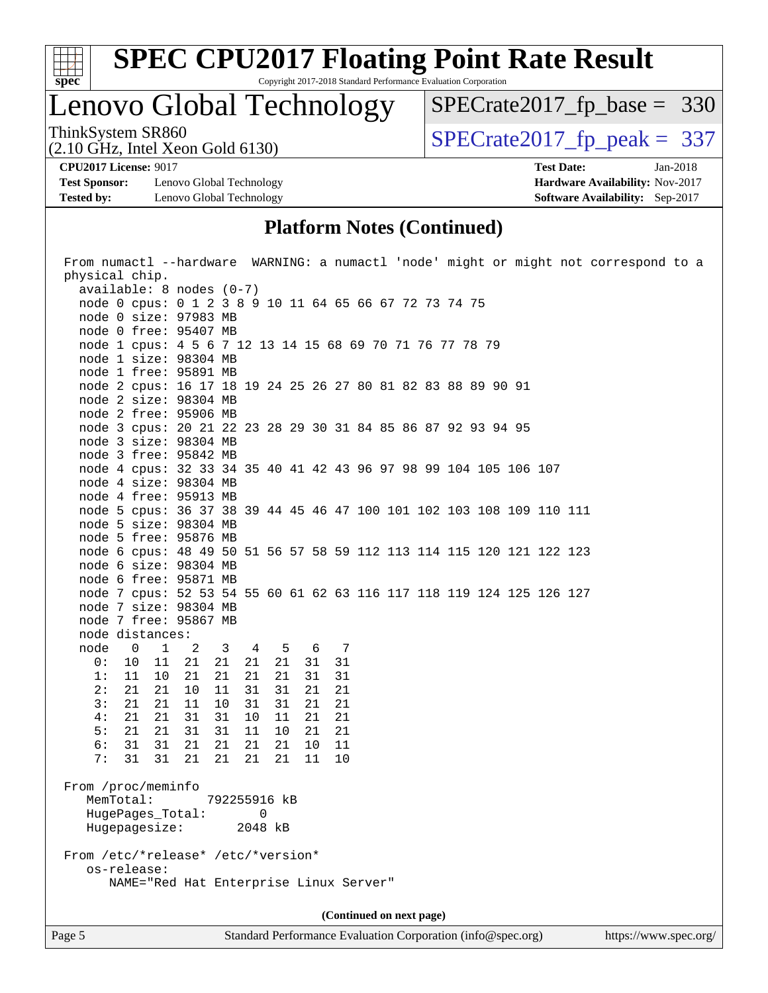

Copyright 2017-2018 Standard Performance Evaluation Corporation

### Lenovo Global Technology

ThinkSystem SR860<br>  $(2.10 \text{ GHz})$  Intel Xeon Gold 6130) [SPECrate2017\\_fp\\_base =](http://www.spec.org/auto/cpu2017/Docs/result-fields.html#SPECrate2017fpbase) 330

(2.10 GHz, Intel Xeon Gold 6130)

**[Test Sponsor:](http://www.spec.org/auto/cpu2017/Docs/result-fields.html#TestSponsor)** Lenovo Global Technology **[Hardware Availability:](http://www.spec.org/auto/cpu2017/Docs/result-fields.html#HardwareAvailability)** Nov-2017 **[Tested by:](http://www.spec.org/auto/cpu2017/Docs/result-fields.html#Testedby)** Lenovo Global Technology **[Software Availability:](http://www.spec.org/auto/cpu2017/Docs/result-fields.html#SoftwareAvailability)** Sep-2017

**[CPU2017 License:](http://www.spec.org/auto/cpu2017/Docs/result-fields.html#CPU2017License)** 9017 **[Test Date:](http://www.spec.org/auto/cpu2017/Docs/result-fields.html#TestDate)** Jan-2018

#### **[Platform Notes \(Continued\)](http://www.spec.org/auto/cpu2017/Docs/result-fields.html#PlatformNotes)**

| From numactl --hardware WARNING: a numactl 'node' might or might not correspond to a |
|--------------------------------------------------------------------------------------|
| physical chip.                                                                       |
| $available: 8 nodes (0-7)$                                                           |
| node 0 cpus: 0 1 2 3 8 9 10 11 64 65 66 67 72 73 74 75                               |
| node 0 size: 97983 MB                                                                |
| node 0 free: 95407 MB                                                                |
| node 1 cpus: 4 5 6 7 12 13 14 15 68 69 70 71 76 77 78 79                             |
| node 1 size: 98304 MB                                                                |
| node 1 free: 95891 MB                                                                |
| node 2 cpus: 16 17 18 19 24 25 26 27 80 81 82 83 88 89 90 91                         |
| node 2 size: 98304 MB                                                                |
| node 2 free: 95906 MB                                                                |
| node 3 cpus: 20 21 22 23 28 29 30 31 84 85 86 87 92 93 94 95                         |
| node 3 size: 98304 MB                                                                |
| node 3 free: 95842 MB                                                                |
| node 4 cpus: 32 33 34 35 40 41 42 43 96 97 98 99 104 105 106 107                     |
| node 4 size: 98304 MB                                                                |
| node 4 free: 95913 MB                                                                |
| node 5 cpus: 36 37 38 39 44 45 46 47 100 101 102 103 108 109 110 111                 |
| node 5 size: 98304 MB                                                                |
| node 5 free: 95876 MB                                                                |
| node 6 cpus: 48 49 50 51 56 57 58 59 112 113 114 115 120 121 122 123                 |
| node 6 size: 98304 MB                                                                |
| node 6 free: 95871 MB                                                                |
| node 7 cpus: 52 53 54 55 60 61 62 63 116 117 118 119 124 125 126 127                 |
| node 7 size: 98304 MB                                                                |
| node 7 free: 95867 MB                                                                |
| node distances:                                                                      |
| node<br>$\overline{\phantom{0}}$<br>$\mathbf{1}$<br>2 3<br>4 5<br>6 7                |
| 0:<br>10<br>11<br>21<br>21<br>21<br>31<br>31<br>21<br>1:<br>21<br>31<br>31           |
| 11 10<br>21<br>21<br>21<br>2:<br>21 21<br>10<br>11<br>31<br>31<br>21<br>21           |
| 3:<br>21<br>21<br>11<br>10<br>31<br>31<br>21<br>21                                   |
| 4:<br>21<br>31<br>31<br>21<br>10<br>11<br>21<br>21                                   |
| 5:<br>21<br>21<br>31<br>31<br>10<br>21<br>21<br>11                                   |
| 6:<br>31<br>31<br>21<br>21<br>21<br>21<br>10<br>11                                   |
| 7:<br>31<br>31<br>21<br>10<br>21<br>21<br>21<br>11                                   |
|                                                                                      |
| From /proc/meminfo                                                                   |
| MemTotal:<br>792255916 kB                                                            |
| HugePages_Total:<br>0                                                                |
| Hugepagesize:<br>2048 kB                                                             |
|                                                                                      |
| From /etc/*release* /etc/*version*                                                   |
| os-release:                                                                          |
| NAME="Red Hat Enterprise Linux Server"                                               |
|                                                                                      |
| (Continued on next page)                                                             |
|                                                                                      |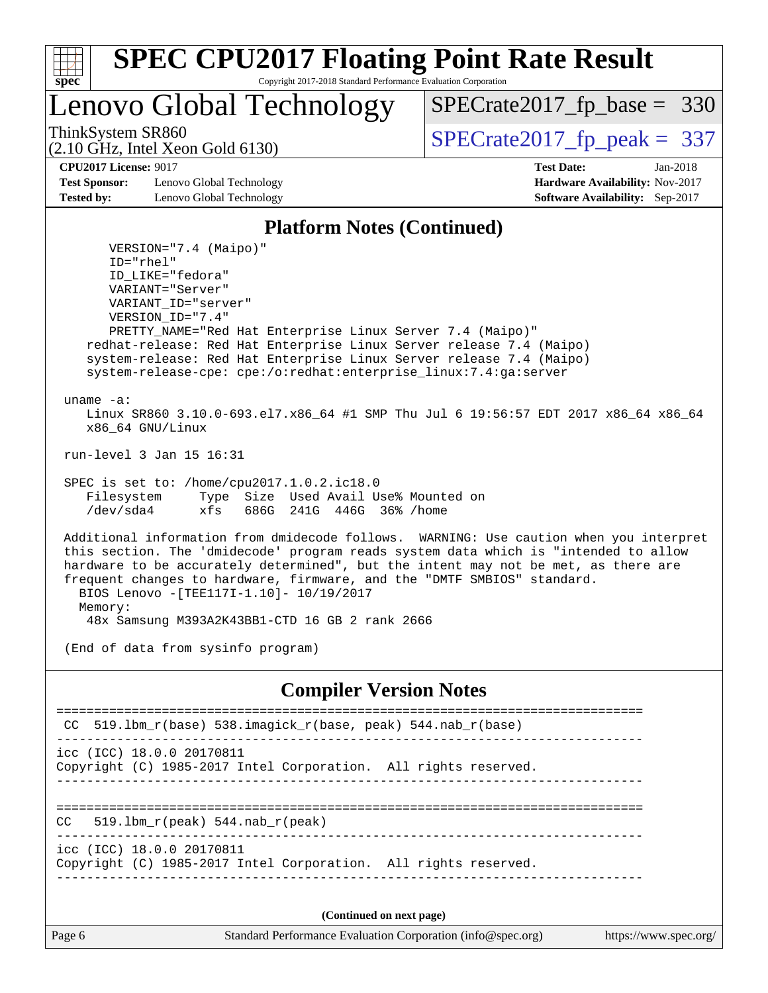

Lenovo Global Technology

ThinkSystem SR860<br>  $(2.10 \text{ GHz})$  Intel Year Gold 6130) [SPECrate2017\\_fp\\_base =](http://www.spec.org/auto/cpu2017/Docs/result-fields.html#SPECrate2017fpbase) 330

(2.10 GHz, Intel Xeon Gold 6130)

**[Test Sponsor:](http://www.spec.org/auto/cpu2017/Docs/result-fields.html#TestSponsor)** Lenovo Global Technology **[Hardware Availability:](http://www.spec.org/auto/cpu2017/Docs/result-fields.html#HardwareAvailability)** Nov-2017 **[Tested by:](http://www.spec.org/auto/cpu2017/Docs/result-fields.html#Testedby)** Lenovo Global Technology **[Software Availability:](http://www.spec.org/auto/cpu2017/Docs/result-fields.html#SoftwareAvailability)** Sep-2017

**[CPU2017 License:](http://www.spec.org/auto/cpu2017/Docs/result-fields.html#CPU2017License)** 9017 **[Test Date:](http://www.spec.org/auto/cpu2017/Docs/result-fields.html#TestDate)** Jan-2018

#### **[Platform Notes \(Continued\)](http://www.spec.org/auto/cpu2017/Docs/result-fields.html#PlatformNotes)**

 VERSION="7.4 (Maipo)" ID="rhel" ID\_LIKE="fedora" VARIANT="Server" VARIANT\_ID="server" VERSION\_ID="7.4" PRETTY\_NAME="Red Hat Enterprise Linux Server 7.4 (Maipo)" redhat-release: Red Hat Enterprise Linux Server release 7.4 (Maipo) system-release: Red Hat Enterprise Linux Server release 7.4 (Maipo) system-release-cpe: cpe:/o:redhat:enterprise\_linux:7.4:ga:server uname -a: Linux SR860 3.10.0-693.el7.x86\_64 #1 SMP Thu Jul 6 19:56:57 EDT 2017 x86\_64 x86\_64 x86\_64 GNU/Linux run-level 3 Jan 15 16:31 SPEC is set to: /home/cpu2017.1.0.2.ic18.0 Filesystem Type Size Used Avail Use% Mounted on /dev/sda4 xfs 686G 241G 446G 36% /home Additional information from dmidecode follows. WARNING: Use caution when you interpret this section. The 'dmidecode' program reads system data which is "intended to allow hardware to be accurately determined", but the intent may not be met, as there are frequent changes to hardware, firmware, and the "DMTF SMBIOS" standard. BIOS Lenovo -[TEE117I-1.10]- 10/19/2017 Memory: 48x Samsung M393A2K43BB1-CTD 16 GB 2 rank 2666 (End of data from sysinfo program) **[Compiler Version Notes](http://www.spec.org/auto/cpu2017/Docs/result-fields.html#CompilerVersionNotes)** ============================================================================== CC 519.lbm\_r(base) 538.imagick\_r(base, peak) 544.nab\_r(base) ----------------------------------------------------------------------------- icc (ICC) 18.0.0 20170811 Copyright (C) 1985-2017 Intel Corporation. All rights reserved. ------------------------------------------------------------------------------ ==============================================================================  $CC = 519.1bm_r(peak) 544.nab_r(peak)$ 

----------------------------------------------------------------------------- icc (ICC) 18.0.0 20170811

Copyright (C) 1985-2017 Intel Corporation. All rights reserved. ------------------------------------------------------------------------------

**(Continued on next page)**

Page 6 Standard Performance Evaluation Corporation [\(info@spec.org\)](mailto:info@spec.org) <https://www.spec.org/>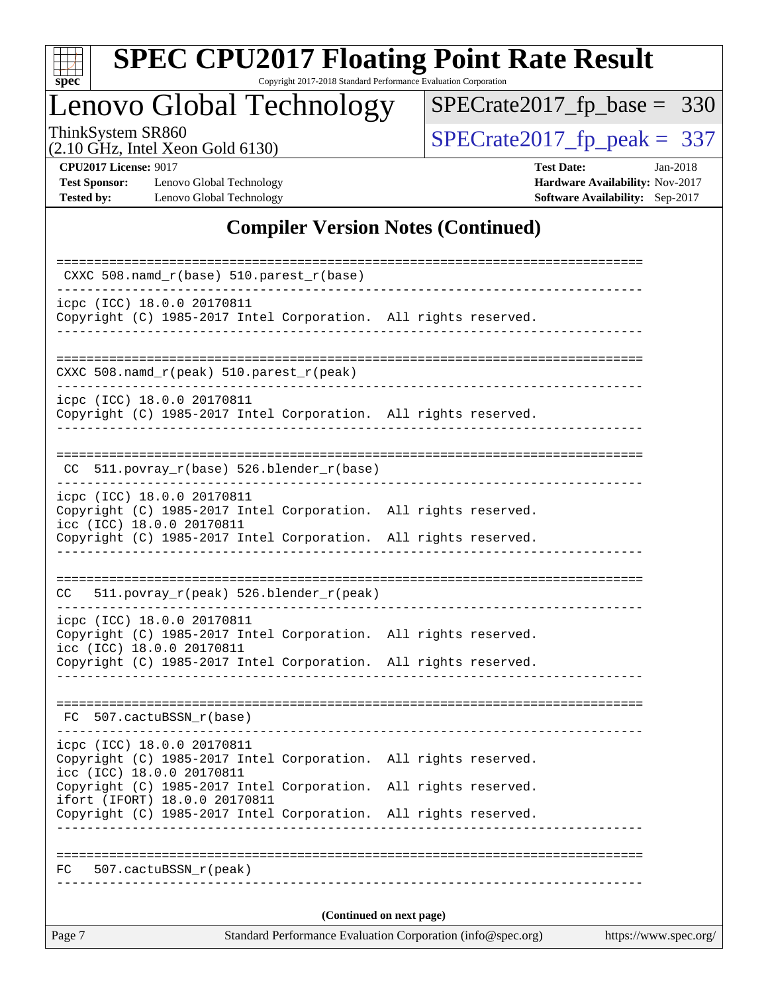| S<br>۱t<br>١<br>U<br>ι. |  |  |  |  |  |  |
|-------------------------|--|--|--|--|--|--|

Copyright 2017-2018 Standard Performance Evaluation Corporation

### Lenovo Global Technology

ThinkSystem SR860<br>  $(2.10 \text{ GHz})$  Intel Xeon Gold 6130)

[SPECrate2017\\_fp\\_base =](http://www.spec.org/auto/cpu2017/Docs/result-fields.html#SPECrate2017fpbase) 330

(2.10 GHz, Intel Xeon Gold 6130)

**[CPU2017 License:](http://www.spec.org/auto/cpu2017/Docs/result-fields.html#CPU2017License)** 9017 **[Test Date:](http://www.spec.org/auto/cpu2017/Docs/result-fields.html#TestDate)** Jan-2018 **[Test Sponsor:](http://www.spec.org/auto/cpu2017/Docs/result-fields.html#TestSponsor)** Lenovo Global Technology **[Hardware Availability:](http://www.spec.org/auto/cpu2017/Docs/result-fields.html#HardwareAvailability)** Nov-2017 **[Tested by:](http://www.spec.org/auto/cpu2017/Docs/result-fields.html#Testedby)** Lenovo Global Technology **[Software Availability:](http://www.spec.org/auto/cpu2017/Docs/result-fields.html#SoftwareAvailability)** Sep-2017

### **[Compiler Version Notes \(Continued\)](http://www.spec.org/auto/cpu2017/Docs/result-fields.html#CompilerVersionNotes)**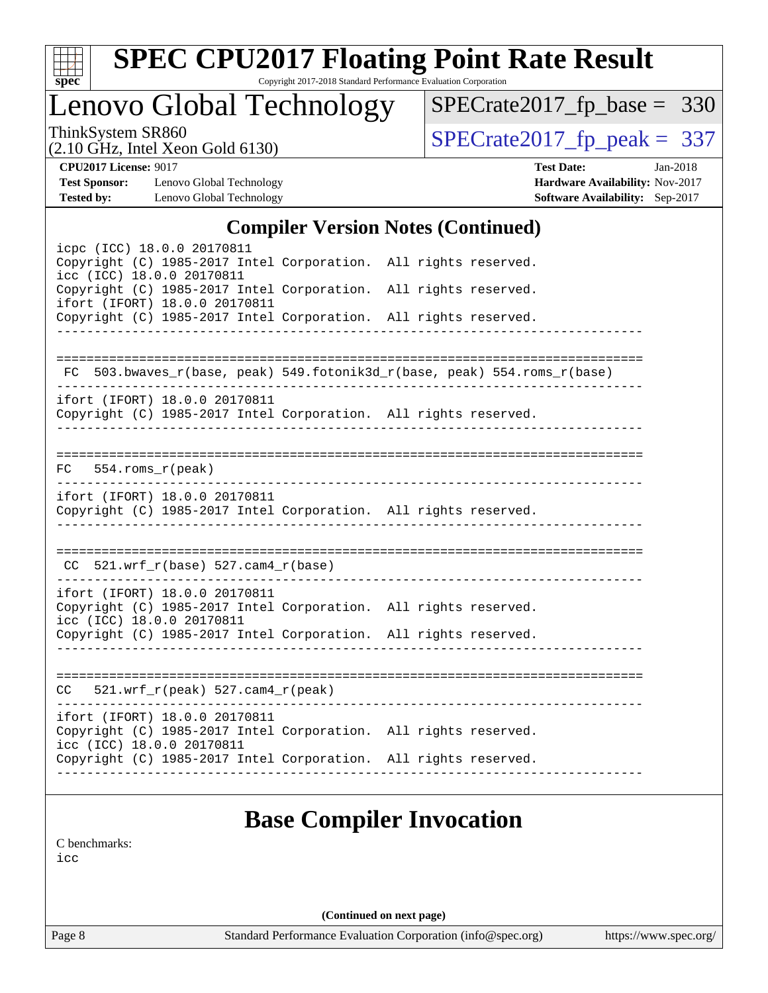| S.<br>De<br>ι. |  |  |  |  |  |  |
|----------------|--|--|--|--|--|--|

Copyright 2017-2018 Standard Performance Evaluation Corporation

Lenovo Global Technology

ThinkSystem SR860<br>  $(2.10 \text{ GHz})$  Intel Xeon Gold 6130) [SPECrate2017\\_fp\\_base =](http://www.spec.org/auto/cpu2017/Docs/result-fields.html#SPECrate2017fpbase) 330

(2.10 GHz, Intel Xeon Gold 6130)

**[Test Sponsor:](http://www.spec.org/auto/cpu2017/Docs/result-fields.html#TestSponsor)** Lenovo Global Technology **[Hardware Availability:](http://www.spec.org/auto/cpu2017/Docs/result-fields.html#HardwareAvailability)** Nov-2017 **[Tested by:](http://www.spec.org/auto/cpu2017/Docs/result-fields.html#Testedby)** Lenovo Global Technology **[Software Availability:](http://www.spec.org/auto/cpu2017/Docs/result-fields.html#SoftwareAvailability)** Sep-2017

**[CPU2017 License:](http://www.spec.org/auto/cpu2017/Docs/result-fields.html#CPU2017License)** 9017 **[Test Date:](http://www.spec.org/auto/cpu2017/Docs/result-fields.html#TestDate)** Jan-2018

#### **[Compiler Version Notes \(Continued\)](http://www.spec.org/auto/cpu2017/Docs/result-fields.html#CompilerVersionNotes)**

| icpc (ICC) 18.0.0 20170811<br>Copyright (C) 1985-2017 Intel Corporation. All rights reserved.<br>icc (ICC) 18.0.0 20170811<br>Copyright (C) 1985-2017 Intel Corporation. All rights reserved.<br>ifort (IFORT) 18.0.0 20170811<br>Copyright (C) 1985-2017 Intel Corporation. All rights reserved. |                                                                          |
|---------------------------------------------------------------------------------------------------------------------------------------------------------------------------------------------------------------------------------------------------------------------------------------------------|--------------------------------------------------------------------------|
|                                                                                                                                                                                                                                                                                                   | FC 503.bwaves_r(base, peak) 549.fotonik3d_r(base, peak) 554.roms_r(base) |
| ifort (IFORT) 18.0.0 20170811<br>Copyright (C) 1985-2017 Intel Corporation. All rights reserved.                                                                                                                                                                                                  |                                                                          |
| $FC 554.roms_r (peak)$                                                                                                                                                                                                                                                                            |                                                                          |
| ifort (IFORT) 18.0.0 20170811<br>Copyright (C) 1985-2017 Intel Corporation. All rights reserved.                                                                                                                                                                                                  |                                                                          |
| $CC$ 521.wrf_r(base) 527.cam4_r(base)                                                                                                                                                                                                                                                             |                                                                          |
| ifort (IFORT) 18.0.0 20170811<br>Copyright (C) 1985-2017 Intel Corporation. All rights reserved.<br>icc (ICC) 18.0.0 20170811                                                                                                                                                                     |                                                                          |
| Copyright (C) 1985-2017 Intel Corporation. All rights reserved.                                                                                                                                                                                                                                   |                                                                          |
| $CC = 521.wrf_r(peak) 527.cam4_r(peak)$                                                                                                                                                                                                                                                           |                                                                          |
| ifort (IFORT) 18.0.0 20170811<br>Copyright (C) 1985-2017 Intel Corporation. All rights reserved.<br>icc (ICC) 18.0.0 20170811<br>Copyright (C) 1985-2017 Intel Corporation. All rights reserved.                                                                                                  |                                                                          |
|                                                                                                                                                                                                                                                                                                   |                                                                          |

### **[Base Compiler Invocation](http://www.spec.org/auto/cpu2017/Docs/result-fields.html#BaseCompilerInvocation)**

[C benchmarks](http://www.spec.org/auto/cpu2017/Docs/result-fields.html#Cbenchmarks):

[icc](http://www.spec.org/cpu2017/results/res2018q1/cpu2017-20180122-03013.flags.html#user_CCbase_intel_icc_18.0_66fc1ee009f7361af1fbd72ca7dcefbb700085f36577c54f309893dd4ec40d12360134090235512931783d35fd58c0460139e722d5067c5574d8eaf2b3e37e92)

**(Continued on next page)**

Page 8 Standard Performance Evaluation Corporation [\(info@spec.org\)](mailto:info@spec.org) <https://www.spec.org/>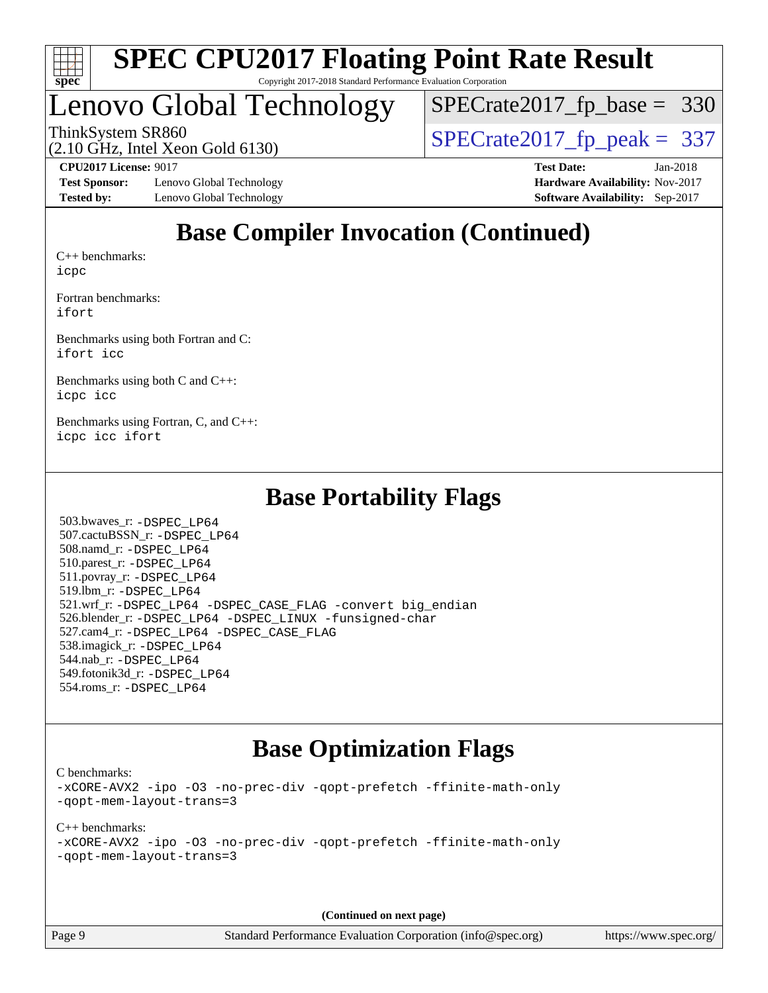

### Lenovo Global Technology

[SPECrate2017\\_fp\\_base =](http://www.spec.org/auto/cpu2017/Docs/result-fields.html#SPECrate2017fpbase) 330

(2.10 GHz, Intel Xeon Gold 6130)

ThinkSystem SR860<br>(2.10 GHz, Intel Xeon Gold 6130)  $\begin{array}{r} | \text{SPECrate2017\_fp\_peak} = 337 \end{array}$ 

**[Test Sponsor:](http://www.spec.org/auto/cpu2017/Docs/result-fields.html#TestSponsor)** Lenovo Global Technology **[Hardware Availability:](http://www.spec.org/auto/cpu2017/Docs/result-fields.html#HardwareAvailability)** Nov-2017 **[Tested by:](http://www.spec.org/auto/cpu2017/Docs/result-fields.html#Testedby)** Lenovo Global Technology **[Software Availability:](http://www.spec.org/auto/cpu2017/Docs/result-fields.html#SoftwareAvailability)** Sep-2017

**[CPU2017 License:](http://www.spec.org/auto/cpu2017/Docs/result-fields.html#CPU2017License)** 9017 **[Test Date:](http://www.spec.org/auto/cpu2017/Docs/result-fields.html#TestDate)** Jan-2018

### **[Base Compiler Invocation \(Continued\)](http://www.spec.org/auto/cpu2017/Docs/result-fields.html#BaseCompilerInvocation)**

[C++ benchmarks:](http://www.spec.org/auto/cpu2017/Docs/result-fields.html#CXXbenchmarks) [icpc](http://www.spec.org/cpu2017/results/res2018q1/cpu2017-20180122-03013.flags.html#user_CXXbase_intel_icpc_18.0_c510b6838c7f56d33e37e94d029a35b4a7bccf4766a728ee175e80a419847e808290a9b78be685c44ab727ea267ec2f070ec5dc83b407c0218cded6866a35d07)

[Fortran benchmarks](http://www.spec.org/auto/cpu2017/Docs/result-fields.html#Fortranbenchmarks): [ifort](http://www.spec.org/cpu2017/results/res2018q1/cpu2017-20180122-03013.flags.html#user_FCbase_intel_ifort_18.0_8111460550e3ca792625aed983ce982f94888b8b503583aa7ba2b8303487b4d8a21a13e7191a45c5fd58ff318f48f9492884d4413fa793fd88dd292cad7027ca)

[Benchmarks using both Fortran and C](http://www.spec.org/auto/cpu2017/Docs/result-fields.html#BenchmarksusingbothFortranandC): [ifort](http://www.spec.org/cpu2017/results/res2018q1/cpu2017-20180122-03013.flags.html#user_CC_FCbase_intel_ifort_18.0_8111460550e3ca792625aed983ce982f94888b8b503583aa7ba2b8303487b4d8a21a13e7191a45c5fd58ff318f48f9492884d4413fa793fd88dd292cad7027ca) [icc](http://www.spec.org/cpu2017/results/res2018q1/cpu2017-20180122-03013.flags.html#user_CC_FCbase_intel_icc_18.0_66fc1ee009f7361af1fbd72ca7dcefbb700085f36577c54f309893dd4ec40d12360134090235512931783d35fd58c0460139e722d5067c5574d8eaf2b3e37e92)

[Benchmarks using both C and C++](http://www.spec.org/auto/cpu2017/Docs/result-fields.html#BenchmarksusingbothCandCXX): [icpc](http://www.spec.org/cpu2017/results/res2018q1/cpu2017-20180122-03013.flags.html#user_CC_CXXbase_intel_icpc_18.0_c510b6838c7f56d33e37e94d029a35b4a7bccf4766a728ee175e80a419847e808290a9b78be685c44ab727ea267ec2f070ec5dc83b407c0218cded6866a35d07) [icc](http://www.spec.org/cpu2017/results/res2018q1/cpu2017-20180122-03013.flags.html#user_CC_CXXbase_intel_icc_18.0_66fc1ee009f7361af1fbd72ca7dcefbb700085f36577c54f309893dd4ec40d12360134090235512931783d35fd58c0460139e722d5067c5574d8eaf2b3e37e92)

[Benchmarks using Fortran, C, and C++:](http://www.spec.org/auto/cpu2017/Docs/result-fields.html#BenchmarksusingFortranCandCXX) [icpc](http://www.spec.org/cpu2017/results/res2018q1/cpu2017-20180122-03013.flags.html#user_CC_CXX_FCbase_intel_icpc_18.0_c510b6838c7f56d33e37e94d029a35b4a7bccf4766a728ee175e80a419847e808290a9b78be685c44ab727ea267ec2f070ec5dc83b407c0218cded6866a35d07) [icc](http://www.spec.org/cpu2017/results/res2018q1/cpu2017-20180122-03013.flags.html#user_CC_CXX_FCbase_intel_icc_18.0_66fc1ee009f7361af1fbd72ca7dcefbb700085f36577c54f309893dd4ec40d12360134090235512931783d35fd58c0460139e722d5067c5574d8eaf2b3e37e92) [ifort](http://www.spec.org/cpu2017/results/res2018q1/cpu2017-20180122-03013.flags.html#user_CC_CXX_FCbase_intel_ifort_18.0_8111460550e3ca792625aed983ce982f94888b8b503583aa7ba2b8303487b4d8a21a13e7191a45c5fd58ff318f48f9492884d4413fa793fd88dd292cad7027ca)

### **[Base Portability Flags](http://www.spec.org/auto/cpu2017/Docs/result-fields.html#BasePortabilityFlags)**

 503.bwaves\_r: [-DSPEC\\_LP64](http://www.spec.org/cpu2017/results/res2018q1/cpu2017-20180122-03013.flags.html#suite_basePORTABILITY503_bwaves_r_DSPEC_LP64) 507.cactuBSSN\_r: [-DSPEC\\_LP64](http://www.spec.org/cpu2017/results/res2018q1/cpu2017-20180122-03013.flags.html#suite_basePORTABILITY507_cactuBSSN_r_DSPEC_LP64) 508.namd\_r: [-DSPEC\\_LP64](http://www.spec.org/cpu2017/results/res2018q1/cpu2017-20180122-03013.flags.html#suite_basePORTABILITY508_namd_r_DSPEC_LP64) 510.parest\_r: [-DSPEC\\_LP64](http://www.spec.org/cpu2017/results/res2018q1/cpu2017-20180122-03013.flags.html#suite_basePORTABILITY510_parest_r_DSPEC_LP64) 511.povray\_r: [-DSPEC\\_LP64](http://www.spec.org/cpu2017/results/res2018q1/cpu2017-20180122-03013.flags.html#suite_basePORTABILITY511_povray_r_DSPEC_LP64) 519.lbm\_r: [-DSPEC\\_LP64](http://www.spec.org/cpu2017/results/res2018q1/cpu2017-20180122-03013.flags.html#suite_basePORTABILITY519_lbm_r_DSPEC_LP64) 521.wrf\_r: [-DSPEC\\_LP64](http://www.spec.org/cpu2017/results/res2018q1/cpu2017-20180122-03013.flags.html#suite_basePORTABILITY521_wrf_r_DSPEC_LP64) [-DSPEC\\_CASE\\_FLAG](http://www.spec.org/cpu2017/results/res2018q1/cpu2017-20180122-03013.flags.html#b521.wrf_r_baseCPORTABILITY_DSPEC_CASE_FLAG) [-convert big\\_endian](http://www.spec.org/cpu2017/results/res2018q1/cpu2017-20180122-03013.flags.html#user_baseFPORTABILITY521_wrf_r_convert_big_endian_c3194028bc08c63ac5d04de18c48ce6d347e4e562e8892b8bdbdc0214820426deb8554edfa529a3fb25a586e65a3d812c835984020483e7e73212c4d31a38223) 526.blender\_r: [-DSPEC\\_LP64](http://www.spec.org/cpu2017/results/res2018q1/cpu2017-20180122-03013.flags.html#suite_basePORTABILITY526_blender_r_DSPEC_LP64) [-DSPEC\\_LINUX](http://www.spec.org/cpu2017/results/res2018q1/cpu2017-20180122-03013.flags.html#b526.blender_r_baseCPORTABILITY_DSPEC_LINUX) [-funsigned-char](http://www.spec.org/cpu2017/results/res2018q1/cpu2017-20180122-03013.flags.html#user_baseCPORTABILITY526_blender_r_force_uchar_40c60f00ab013830e2dd6774aeded3ff59883ba5a1fc5fc14077f794d777847726e2a5858cbc7672e36e1b067e7e5c1d9a74f7176df07886a243d7cc18edfe67) 527.cam4\_r: [-DSPEC\\_LP64](http://www.spec.org/cpu2017/results/res2018q1/cpu2017-20180122-03013.flags.html#suite_basePORTABILITY527_cam4_r_DSPEC_LP64) [-DSPEC\\_CASE\\_FLAG](http://www.spec.org/cpu2017/results/res2018q1/cpu2017-20180122-03013.flags.html#b527.cam4_r_baseCPORTABILITY_DSPEC_CASE_FLAG) 538.imagick\_r: [-DSPEC\\_LP64](http://www.spec.org/cpu2017/results/res2018q1/cpu2017-20180122-03013.flags.html#suite_basePORTABILITY538_imagick_r_DSPEC_LP64) 544.nab\_r: [-DSPEC\\_LP64](http://www.spec.org/cpu2017/results/res2018q1/cpu2017-20180122-03013.flags.html#suite_basePORTABILITY544_nab_r_DSPEC_LP64) 549.fotonik3d\_r: [-DSPEC\\_LP64](http://www.spec.org/cpu2017/results/res2018q1/cpu2017-20180122-03013.flags.html#suite_basePORTABILITY549_fotonik3d_r_DSPEC_LP64) 554.roms\_r: [-DSPEC\\_LP64](http://www.spec.org/cpu2017/results/res2018q1/cpu2017-20180122-03013.flags.html#suite_basePORTABILITY554_roms_r_DSPEC_LP64)

### **[Base Optimization Flags](http://www.spec.org/auto/cpu2017/Docs/result-fields.html#BaseOptimizationFlags)**

[C benchmarks](http://www.spec.org/auto/cpu2017/Docs/result-fields.html#Cbenchmarks):

[-xCORE-AVX2](http://www.spec.org/cpu2017/results/res2018q1/cpu2017-20180122-03013.flags.html#user_CCbase_f-xCORE-AVX2) [-ipo](http://www.spec.org/cpu2017/results/res2018q1/cpu2017-20180122-03013.flags.html#user_CCbase_f-ipo) [-O3](http://www.spec.org/cpu2017/results/res2018q1/cpu2017-20180122-03013.flags.html#user_CCbase_f-O3) [-no-prec-div](http://www.spec.org/cpu2017/results/res2018q1/cpu2017-20180122-03013.flags.html#user_CCbase_f-no-prec-div) [-qopt-prefetch](http://www.spec.org/cpu2017/results/res2018q1/cpu2017-20180122-03013.flags.html#user_CCbase_f-qopt-prefetch) [-ffinite-math-only](http://www.spec.org/cpu2017/results/res2018q1/cpu2017-20180122-03013.flags.html#user_CCbase_f_finite_math_only_cb91587bd2077682c4b38af759c288ed7c732db004271a9512da14a4f8007909a5f1427ecbf1a0fb78ff2a814402c6114ac565ca162485bbcae155b5e4258871) [-qopt-mem-layout-trans=3](http://www.spec.org/cpu2017/results/res2018q1/cpu2017-20180122-03013.flags.html#user_CCbase_f-qopt-mem-layout-trans_de80db37974c74b1f0e20d883f0b675c88c3b01e9d123adea9b28688d64333345fb62bc4a798493513fdb68f60282f9a726aa07f478b2f7113531aecce732043)

[C++ benchmarks:](http://www.spec.org/auto/cpu2017/Docs/result-fields.html#CXXbenchmarks) [-xCORE-AVX2](http://www.spec.org/cpu2017/results/res2018q1/cpu2017-20180122-03013.flags.html#user_CXXbase_f-xCORE-AVX2) [-ipo](http://www.spec.org/cpu2017/results/res2018q1/cpu2017-20180122-03013.flags.html#user_CXXbase_f-ipo) [-O3](http://www.spec.org/cpu2017/results/res2018q1/cpu2017-20180122-03013.flags.html#user_CXXbase_f-O3) [-no-prec-div](http://www.spec.org/cpu2017/results/res2018q1/cpu2017-20180122-03013.flags.html#user_CXXbase_f-no-prec-div) [-qopt-prefetch](http://www.spec.org/cpu2017/results/res2018q1/cpu2017-20180122-03013.flags.html#user_CXXbase_f-qopt-prefetch) [-ffinite-math-only](http://www.spec.org/cpu2017/results/res2018q1/cpu2017-20180122-03013.flags.html#user_CXXbase_f_finite_math_only_cb91587bd2077682c4b38af759c288ed7c732db004271a9512da14a4f8007909a5f1427ecbf1a0fb78ff2a814402c6114ac565ca162485bbcae155b5e4258871) [-qopt-mem-layout-trans=3](http://www.spec.org/cpu2017/results/res2018q1/cpu2017-20180122-03013.flags.html#user_CXXbase_f-qopt-mem-layout-trans_de80db37974c74b1f0e20d883f0b675c88c3b01e9d123adea9b28688d64333345fb62bc4a798493513fdb68f60282f9a726aa07f478b2f7113531aecce732043)

**(Continued on next page)**

Page 9 Standard Performance Evaluation Corporation [\(info@spec.org\)](mailto:info@spec.org) <https://www.spec.org/>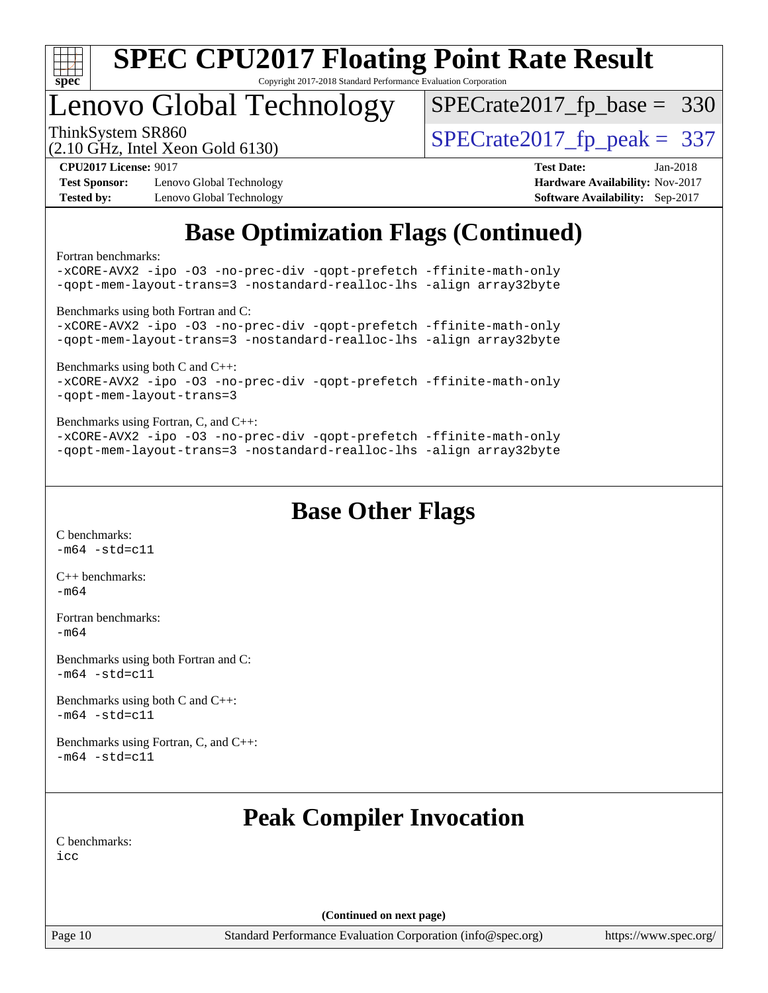

### Lenovo Global Technology

ThinkSystem SR860<br>(2.10 GHz, Intel Xeon Gold 6130)  $\begin{array}{r} | \text{SPECrate2017\_fp\_peak} = 337 \end{array}$ [SPECrate2017\\_fp\\_base =](http://www.spec.org/auto/cpu2017/Docs/result-fields.html#SPECrate2017fpbase) 330

(2.10 GHz, Intel Xeon Gold 6130)

**[Test Sponsor:](http://www.spec.org/auto/cpu2017/Docs/result-fields.html#TestSponsor)** Lenovo Global Technology **[Hardware Availability:](http://www.spec.org/auto/cpu2017/Docs/result-fields.html#HardwareAvailability)** Nov-2017 **[Tested by:](http://www.spec.org/auto/cpu2017/Docs/result-fields.html#Testedby)** Lenovo Global Technology **[Software Availability:](http://www.spec.org/auto/cpu2017/Docs/result-fields.html#SoftwareAvailability)** Sep-2017

**[CPU2017 License:](http://www.spec.org/auto/cpu2017/Docs/result-fields.html#CPU2017License)** 9017 **[Test Date:](http://www.spec.org/auto/cpu2017/Docs/result-fields.html#TestDate)** Jan-2018

### **[Base Optimization Flags \(Continued\)](http://www.spec.org/auto/cpu2017/Docs/result-fields.html#BaseOptimizationFlags)**

[Fortran benchmarks](http://www.spec.org/auto/cpu2017/Docs/result-fields.html#Fortranbenchmarks):

[-xCORE-AVX2](http://www.spec.org/cpu2017/results/res2018q1/cpu2017-20180122-03013.flags.html#user_FCbase_f-xCORE-AVX2) [-ipo](http://www.spec.org/cpu2017/results/res2018q1/cpu2017-20180122-03013.flags.html#user_FCbase_f-ipo) [-O3](http://www.spec.org/cpu2017/results/res2018q1/cpu2017-20180122-03013.flags.html#user_FCbase_f-O3) [-no-prec-div](http://www.spec.org/cpu2017/results/res2018q1/cpu2017-20180122-03013.flags.html#user_FCbase_f-no-prec-div) [-qopt-prefetch](http://www.spec.org/cpu2017/results/res2018q1/cpu2017-20180122-03013.flags.html#user_FCbase_f-qopt-prefetch) [-ffinite-math-only](http://www.spec.org/cpu2017/results/res2018q1/cpu2017-20180122-03013.flags.html#user_FCbase_f_finite_math_only_cb91587bd2077682c4b38af759c288ed7c732db004271a9512da14a4f8007909a5f1427ecbf1a0fb78ff2a814402c6114ac565ca162485bbcae155b5e4258871) [-qopt-mem-layout-trans=3](http://www.spec.org/cpu2017/results/res2018q1/cpu2017-20180122-03013.flags.html#user_FCbase_f-qopt-mem-layout-trans_de80db37974c74b1f0e20d883f0b675c88c3b01e9d123adea9b28688d64333345fb62bc4a798493513fdb68f60282f9a726aa07f478b2f7113531aecce732043) [-nostandard-realloc-lhs](http://www.spec.org/cpu2017/results/res2018q1/cpu2017-20180122-03013.flags.html#user_FCbase_f_2003_std_realloc_82b4557e90729c0f113870c07e44d33d6f5a304b4f63d4c15d2d0f1fab99f5daaed73bdb9275d9ae411527f28b936061aa8b9c8f2d63842963b95c9dd6426b8a) [-align array32byte](http://www.spec.org/cpu2017/results/res2018q1/cpu2017-20180122-03013.flags.html#user_FCbase_align_array32byte_b982fe038af199962ba9a80c053b8342c548c85b40b8e86eb3cc33dee0d7986a4af373ac2d51c3f7cf710a18d62fdce2948f201cd044323541f22fc0fffc51b6) [Benchmarks using both Fortran and C](http://www.spec.org/auto/cpu2017/Docs/result-fields.html#BenchmarksusingbothFortranandC): [-xCORE-AVX2](http://www.spec.org/cpu2017/results/res2018q1/cpu2017-20180122-03013.flags.html#user_CC_FCbase_f-xCORE-AVX2) [-ipo](http://www.spec.org/cpu2017/results/res2018q1/cpu2017-20180122-03013.flags.html#user_CC_FCbase_f-ipo) [-O3](http://www.spec.org/cpu2017/results/res2018q1/cpu2017-20180122-03013.flags.html#user_CC_FCbase_f-O3) [-no-prec-div](http://www.spec.org/cpu2017/results/res2018q1/cpu2017-20180122-03013.flags.html#user_CC_FCbase_f-no-prec-div) [-qopt-prefetch](http://www.spec.org/cpu2017/results/res2018q1/cpu2017-20180122-03013.flags.html#user_CC_FCbase_f-qopt-prefetch) [-ffinite-math-only](http://www.spec.org/cpu2017/results/res2018q1/cpu2017-20180122-03013.flags.html#user_CC_FCbase_f_finite_math_only_cb91587bd2077682c4b38af759c288ed7c732db004271a9512da14a4f8007909a5f1427ecbf1a0fb78ff2a814402c6114ac565ca162485bbcae155b5e4258871) [-qopt-mem-layout-trans=3](http://www.spec.org/cpu2017/results/res2018q1/cpu2017-20180122-03013.flags.html#user_CC_FCbase_f-qopt-mem-layout-trans_de80db37974c74b1f0e20d883f0b675c88c3b01e9d123adea9b28688d64333345fb62bc4a798493513fdb68f60282f9a726aa07f478b2f7113531aecce732043) [-nostandard-realloc-lhs](http://www.spec.org/cpu2017/results/res2018q1/cpu2017-20180122-03013.flags.html#user_CC_FCbase_f_2003_std_realloc_82b4557e90729c0f113870c07e44d33d6f5a304b4f63d4c15d2d0f1fab99f5daaed73bdb9275d9ae411527f28b936061aa8b9c8f2d63842963b95c9dd6426b8a) [-align array32byte](http://www.spec.org/cpu2017/results/res2018q1/cpu2017-20180122-03013.flags.html#user_CC_FCbase_align_array32byte_b982fe038af199962ba9a80c053b8342c548c85b40b8e86eb3cc33dee0d7986a4af373ac2d51c3f7cf710a18d62fdce2948f201cd044323541f22fc0fffc51b6) [Benchmarks using both C and C++](http://www.spec.org/auto/cpu2017/Docs/result-fields.html#BenchmarksusingbothCandCXX): [-xCORE-AVX2](http://www.spec.org/cpu2017/results/res2018q1/cpu2017-20180122-03013.flags.html#user_CC_CXXbase_f-xCORE-AVX2) [-ipo](http://www.spec.org/cpu2017/results/res2018q1/cpu2017-20180122-03013.flags.html#user_CC_CXXbase_f-ipo) [-O3](http://www.spec.org/cpu2017/results/res2018q1/cpu2017-20180122-03013.flags.html#user_CC_CXXbase_f-O3) [-no-prec-div](http://www.spec.org/cpu2017/results/res2018q1/cpu2017-20180122-03013.flags.html#user_CC_CXXbase_f-no-prec-div) [-qopt-prefetch](http://www.spec.org/cpu2017/results/res2018q1/cpu2017-20180122-03013.flags.html#user_CC_CXXbase_f-qopt-prefetch) [-ffinite-math-only](http://www.spec.org/cpu2017/results/res2018q1/cpu2017-20180122-03013.flags.html#user_CC_CXXbase_f_finite_math_only_cb91587bd2077682c4b38af759c288ed7c732db004271a9512da14a4f8007909a5f1427ecbf1a0fb78ff2a814402c6114ac565ca162485bbcae155b5e4258871) [-qopt-mem-layout-trans=3](http://www.spec.org/cpu2017/results/res2018q1/cpu2017-20180122-03013.flags.html#user_CC_CXXbase_f-qopt-mem-layout-trans_de80db37974c74b1f0e20d883f0b675c88c3b01e9d123adea9b28688d64333345fb62bc4a798493513fdb68f60282f9a726aa07f478b2f7113531aecce732043) [Benchmarks using Fortran, C, and C++:](http://www.spec.org/auto/cpu2017/Docs/result-fields.html#BenchmarksusingFortranCandCXX) [-xCORE-AVX2](http://www.spec.org/cpu2017/results/res2018q1/cpu2017-20180122-03013.flags.html#user_CC_CXX_FCbase_f-xCORE-AVX2) [-ipo](http://www.spec.org/cpu2017/results/res2018q1/cpu2017-20180122-03013.flags.html#user_CC_CXX_FCbase_f-ipo) [-O3](http://www.spec.org/cpu2017/results/res2018q1/cpu2017-20180122-03013.flags.html#user_CC_CXX_FCbase_f-O3) [-no-prec-div](http://www.spec.org/cpu2017/results/res2018q1/cpu2017-20180122-03013.flags.html#user_CC_CXX_FCbase_f-no-prec-div) [-qopt-prefetch](http://www.spec.org/cpu2017/results/res2018q1/cpu2017-20180122-03013.flags.html#user_CC_CXX_FCbase_f-qopt-prefetch) [-ffinite-math-only](http://www.spec.org/cpu2017/results/res2018q1/cpu2017-20180122-03013.flags.html#user_CC_CXX_FCbase_f_finite_math_only_cb91587bd2077682c4b38af759c288ed7c732db004271a9512da14a4f8007909a5f1427ecbf1a0fb78ff2a814402c6114ac565ca162485bbcae155b5e4258871) [-qopt-mem-layout-trans=3](http://www.spec.org/cpu2017/results/res2018q1/cpu2017-20180122-03013.flags.html#user_CC_CXX_FCbase_f-qopt-mem-layout-trans_de80db37974c74b1f0e20d883f0b675c88c3b01e9d123adea9b28688d64333345fb62bc4a798493513fdb68f60282f9a726aa07f478b2f7113531aecce732043) [-nostandard-realloc-lhs](http://www.spec.org/cpu2017/results/res2018q1/cpu2017-20180122-03013.flags.html#user_CC_CXX_FCbase_f_2003_std_realloc_82b4557e90729c0f113870c07e44d33d6f5a304b4f63d4c15d2d0f1fab99f5daaed73bdb9275d9ae411527f28b936061aa8b9c8f2d63842963b95c9dd6426b8a) [-align array32byte](http://www.spec.org/cpu2017/results/res2018q1/cpu2017-20180122-03013.flags.html#user_CC_CXX_FCbase_align_array32byte_b982fe038af199962ba9a80c053b8342c548c85b40b8e86eb3cc33dee0d7986a4af373ac2d51c3f7cf710a18d62fdce2948f201cd044323541f22fc0fffc51b6)

**[Base Other Flags](http://www.spec.org/auto/cpu2017/Docs/result-fields.html#BaseOtherFlags)**

[C benchmarks](http://www.spec.org/auto/cpu2017/Docs/result-fields.html#Cbenchmarks):  $-m64 - std= c11$  $-m64 - std= c11$ 

[C++ benchmarks:](http://www.spec.org/auto/cpu2017/Docs/result-fields.html#CXXbenchmarks) [-m64](http://www.spec.org/cpu2017/results/res2018q1/cpu2017-20180122-03013.flags.html#user_CXXbase_intel_intel64_18.0_af43caccfc8ded86e7699f2159af6efc7655f51387b94da716254467f3c01020a5059329e2569e4053f409e7c9202a7efc638f7a6d1ffb3f52dea4a3e31d82ab)

[Fortran benchmarks](http://www.spec.org/auto/cpu2017/Docs/result-fields.html#Fortranbenchmarks): [-m64](http://www.spec.org/cpu2017/results/res2018q1/cpu2017-20180122-03013.flags.html#user_FCbase_intel_intel64_18.0_af43caccfc8ded86e7699f2159af6efc7655f51387b94da716254467f3c01020a5059329e2569e4053f409e7c9202a7efc638f7a6d1ffb3f52dea4a3e31d82ab)

[Benchmarks using both Fortran and C](http://www.spec.org/auto/cpu2017/Docs/result-fields.html#BenchmarksusingbothFortranandC):  $-m64$   $-std=cl1$ 

[Benchmarks using both C and C++](http://www.spec.org/auto/cpu2017/Docs/result-fields.html#BenchmarksusingbothCandCXX):  $-m64 - std= c11$  $-m64 - std= c11$ 

[Benchmarks using Fortran, C, and C++:](http://www.spec.org/auto/cpu2017/Docs/result-fields.html#BenchmarksusingFortranCandCXX)  $-m64 - std= c11$  $-m64 - std= c11$ 

### **[Peak Compiler Invocation](http://www.spec.org/auto/cpu2017/Docs/result-fields.html#PeakCompilerInvocation)**

[C benchmarks](http://www.spec.org/auto/cpu2017/Docs/result-fields.html#Cbenchmarks): [icc](http://www.spec.org/cpu2017/results/res2018q1/cpu2017-20180122-03013.flags.html#user_CCpeak_intel_icc_18.0_66fc1ee009f7361af1fbd72ca7dcefbb700085f36577c54f309893dd4ec40d12360134090235512931783d35fd58c0460139e722d5067c5574d8eaf2b3e37e92)

**(Continued on next page)**

Page 10 Standard Performance Evaluation Corporation [\(info@spec.org\)](mailto:info@spec.org) <https://www.spec.org/>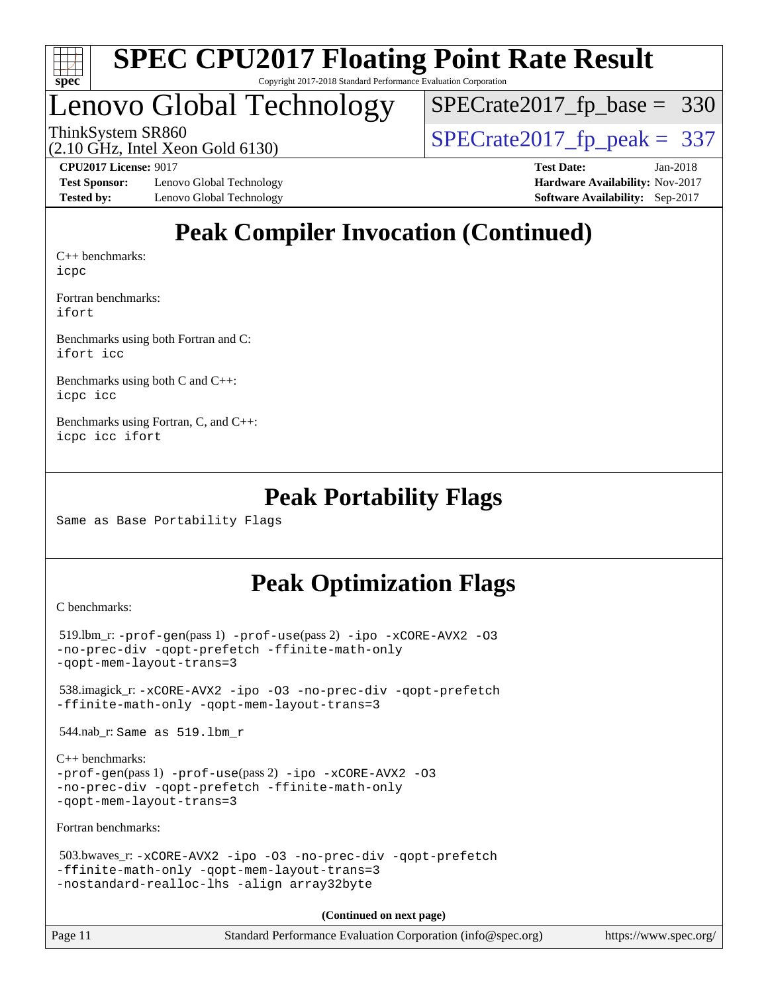

### Lenovo Global Technology

[SPECrate2017\\_fp\\_base =](http://www.spec.org/auto/cpu2017/Docs/result-fields.html#SPECrate2017fpbase) 330

(2.10 GHz, Intel Xeon Gold 6130)

ThinkSystem SR860<br>(2.10 GHz, Intel Xeon Gold 6130)  $\begin{array}{r} | \text{SPECrate2017\_fp\_peak} = 337 \end{array}$ 

**[Test Sponsor:](http://www.spec.org/auto/cpu2017/Docs/result-fields.html#TestSponsor)** Lenovo Global Technology **[Hardware Availability:](http://www.spec.org/auto/cpu2017/Docs/result-fields.html#HardwareAvailability)** Nov-2017 **[Tested by:](http://www.spec.org/auto/cpu2017/Docs/result-fields.html#Testedby)** Lenovo Global Technology **[Software Availability:](http://www.spec.org/auto/cpu2017/Docs/result-fields.html#SoftwareAvailability)** Sep-2017

**[CPU2017 License:](http://www.spec.org/auto/cpu2017/Docs/result-fields.html#CPU2017License)** 9017 **[Test Date:](http://www.spec.org/auto/cpu2017/Docs/result-fields.html#TestDate)** Jan-2018

### **[Peak Compiler Invocation \(Continued\)](http://www.spec.org/auto/cpu2017/Docs/result-fields.html#PeakCompilerInvocation)**

[C++ benchmarks:](http://www.spec.org/auto/cpu2017/Docs/result-fields.html#CXXbenchmarks) [icpc](http://www.spec.org/cpu2017/results/res2018q1/cpu2017-20180122-03013.flags.html#user_CXXpeak_intel_icpc_18.0_c510b6838c7f56d33e37e94d029a35b4a7bccf4766a728ee175e80a419847e808290a9b78be685c44ab727ea267ec2f070ec5dc83b407c0218cded6866a35d07)

[Fortran benchmarks](http://www.spec.org/auto/cpu2017/Docs/result-fields.html#Fortranbenchmarks): [ifort](http://www.spec.org/cpu2017/results/res2018q1/cpu2017-20180122-03013.flags.html#user_FCpeak_intel_ifort_18.0_8111460550e3ca792625aed983ce982f94888b8b503583aa7ba2b8303487b4d8a21a13e7191a45c5fd58ff318f48f9492884d4413fa793fd88dd292cad7027ca)

[Benchmarks using both Fortran and C](http://www.spec.org/auto/cpu2017/Docs/result-fields.html#BenchmarksusingbothFortranandC): [ifort](http://www.spec.org/cpu2017/results/res2018q1/cpu2017-20180122-03013.flags.html#user_CC_FCpeak_intel_ifort_18.0_8111460550e3ca792625aed983ce982f94888b8b503583aa7ba2b8303487b4d8a21a13e7191a45c5fd58ff318f48f9492884d4413fa793fd88dd292cad7027ca) [icc](http://www.spec.org/cpu2017/results/res2018q1/cpu2017-20180122-03013.flags.html#user_CC_FCpeak_intel_icc_18.0_66fc1ee009f7361af1fbd72ca7dcefbb700085f36577c54f309893dd4ec40d12360134090235512931783d35fd58c0460139e722d5067c5574d8eaf2b3e37e92)

[Benchmarks using both C and C++](http://www.spec.org/auto/cpu2017/Docs/result-fields.html#BenchmarksusingbothCandCXX): [icpc](http://www.spec.org/cpu2017/results/res2018q1/cpu2017-20180122-03013.flags.html#user_CC_CXXpeak_intel_icpc_18.0_c510b6838c7f56d33e37e94d029a35b4a7bccf4766a728ee175e80a419847e808290a9b78be685c44ab727ea267ec2f070ec5dc83b407c0218cded6866a35d07) [icc](http://www.spec.org/cpu2017/results/res2018q1/cpu2017-20180122-03013.flags.html#user_CC_CXXpeak_intel_icc_18.0_66fc1ee009f7361af1fbd72ca7dcefbb700085f36577c54f309893dd4ec40d12360134090235512931783d35fd58c0460139e722d5067c5574d8eaf2b3e37e92)

[Benchmarks using Fortran, C, and C++:](http://www.spec.org/auto/cpu2017/Docs/result-fields.html#BenchmarksusingFortranCandCXX) [icpc](http://www.spec.org/cpu2017/results/res2018q1/cpu2017-20180122-03013.flags.html#user_CC_CXX_FCpeak_intel_icpc_18.0_c510b6838c7f56d33e37e94d029a35b4a7bccf4766a728ee175e80a419847e808290a9b78be685c44ab727ea267ec2f070ec5dc83b407c0218cded6866a35d07) [icc](http://www.spec.org/cpu2017/results/res2018q1/cpu2017-20180122-03013.flags.html#user_CC_CXX_FCpeak_intel_icc_18.0_66fc1ee009f7361af1fbd72ca7dcefbb700085f36577c54f309893dd4ec40d12360134090235512931783d35fd58c0460139e722d5067c5574d8eaf2b3e37e92) [ifort](http://www.spec.org/cpu2017/results/res2018q1/cpu2017-20180122-03013.flags.html#user_CC_CXX_FCpeak_intel_ifort_18.0_8111460550e3ca792625aed983ce982f94888b8b503583aa7ba2b8303487b4d8a21a13e7191a45c5fd58ff318f48f9492884d4413fa793fd88dd292cad7027ca)

### **[Peak Portability Flags](http://www.spec.org/auto/cpu2017/Docs/result-fields.html#PeakPortabilityFlags)**

Same as Base Portability Flags

### **[Peak Optimization Flags](http://www.spec.org/auto/cpu2017/Docs/result-fields.html#PeakOptimizationFlags)**

[C benchmarks](http://www.spec.org/auto/cpu2017/Docs/result-fields.html#Cbenchmarks):

```
519.lbm_r: -ipo -\text{xCORE-AVX2} -03-no-prec-div -qopt-prefetch -ffinite-math-only
-qopt-mem-layout-trans=3
 538.imagick_r: -xCORE-AVX2 -ipo -O3 -no-prec-div -qopt-prefetch
-ffinite-math-only -qopt-mem-layout-trans=3
 544.nab_r: Same as 519.lbm_r
C++ benchmarks: 
-prof-gen(pass 1) -prof-use(pass 2) -ipo -xCORE-AVX2 -O3
-no-prec-div -qopt-prefetch -ffinite-math-only
-qopt-mem-layout-trans=3
Fortran benchmarks: 
 503.bwaves_r: -xCORE-AVX2 -ipo -O3 -no-prec-div -qopt-prefetch
-ffinite-math-only -qopt-mem-layout-trans=3
-nostandard-realloc-lhs -align array32byte
                                    (Continued on next page)
```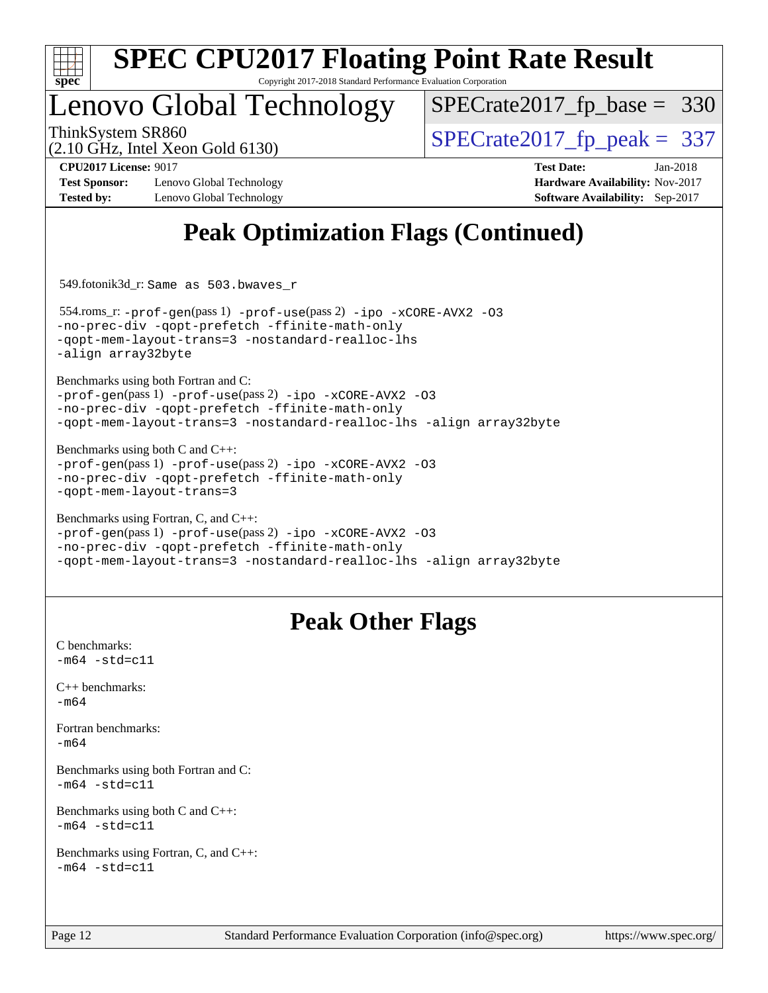

### Lenovo Global Technology

[SPECrate2017\\_fp\\_base =](http://www.spec.org/auto/cpu2017/Docs/result-fields.html#SPECrate2017fpbase) 330

(2.10 GHz, Intel Xeon Gold 6130)

ThinkSystem SR860<br>  $(2.10 \text{ GHz})$  Intel Xeon Gold 6130)

**[Test Sponsor:](http://www.spec.org/auto/cpu2017/Docs/result-fields.html#TestSponsor)** Lenovo Global Technology **[Hardware Availability:](http://www.spec.org/auto/cpu2017/Docs/result-fields.html#HardwareAvailability)** Nov-2017 **[Tested by:](http://www.spec.org/auto/cpu2017/Docs/result-fields.html#Testedby)** Lenovo Global Technology **[Software Availability:](http://www.spec.org/auto/cpu2017/Docs/result-fields.html#SoftwareAvailability)** Sep-2017

**[CPU2017 License:](http://www.spec.org/auto/cpu2017/Docs/result-fields.html#CPU2017License)** 9017 **[Test Date:](http://www.spec.org/auto/cpu2017/Docs/result-fields.html#TestDate)** Jan-2018

### **[Peak Optimization Flags \(Continued\)](http://www.spec.org/auto/cpu2017/Docs/result-fields.html#PeakOptimizationFlags)**

549.fotonik3d\_r: Same as 503.bwaves\_r

 554.roms\_r: [-prof-gen](http://www.spec.org/cpu2017/results/res2018q1/cpu2017-20180122-03013.flags.html#user_peakPASS1_FFLAGSPASS1_LDFLAGS554_roms_r_prof_gen_5aa4926d6013ddb2a31985c654b3eb18169fc0c6952a63635c234f711e6e63dd76e94ad52365559451ec499a2cdb89e4dc58ba4c67ef54ca681ffbe1461d6b36)(pass 1) [-prof-use](http://www.spec.org/cpu2017/results/res2018q1/cpu2017-20180122-03013.flags.html#user_peakPASS2_FFLAGSPASS2_LDFLAGS554_roms_r_prof_use_1a21ceae95f36a2b53c25747139a6c16ca95bd9def2a207b4f0849963b97e94f5260e30a0c64f4bb623698870e679ca08317ef8150905d41bd88c6f78df73f19)(pass 2) [-ipo](http://www.spec.org/cpu2017/results/res2018q1/cpu2017-20180122-03013.flags.html#user_peakPASS1_FOPTIMIZEPASS2_FOPTIMIZE554_roms_r_f-ipo) [-xCORE-AVX2](http://www.spec.org/cpu2017/results/res2018q1/cpu2017-20180122-03013.flags.html#user_peakPASS2_FOPTIMIZE554_roms_r_f-xCORE-AVX2) [-O3](http://www.spec.org/cpu2017/results/res2018q1/cpu2017-20180122-03013.flags.html#user_peakPASS1_FOPTIMIZEPASS2_FOPTIMIZE554_roms_r_f-O3) [-no-prec-div](http://www.spec.org/cpu2017/results/res2018q1/cpu2017-20180122-03013.flags.html#user_peakPASS1_FOPTIMIZEPASS2_FOPTIMIZE554_roms_r_f-no-prec-div) [-qopt-prefetch](http://www.spec.org/cpu2017/results/res2018q1/cpu2017-20180122-03013.flags.html#user_peakPASS1_FOPTIMIZEPASS2_FOPTIMIZE554_roms_r_f-qopt-prefetch) [-ffinite-math-only](http://www.spec.org/cpu2017/results/res2018q1/cpu2017-20180122-03013.flags.html#user_peakPASS1_FOPTIMIZEPASS2_FOPTIMIZE554_roms_r_f_finite_math_only_cb91587bd2077682c4b38af759c288ed7c732db004271a9512da14a4f8007909a5f1427ecbf1a0fb78ff2a814402c6114ac565ca162485bbcae155b5e4258871) [-qopt-mem-layout-trans=3](http://www.spec.org/cpu2017/results/res2018q1/cpu2017-20180122-03013.flags.html#user_peakPASS1_FOPTIMIZEPASS2_FOPTIMIZE554_roms_r_f-qopt-mem-layout-trans_de80db37974c74b1f0e20d883f0b675c88c3b01e9d123adea9b28688d64333345fb62bc4a798493513fdb68f60282f9a726aa07f478b2f7113531aecce732043) [-nostandard-realloc-lhs](http://www.spec.org/cpu2017/results/res2018q1/cpu2017-20180122-03013.flags.html#user_peakEXTRA_FOPTIMIZE554_roms_r_f_2003_std_realloc_82b4557e90729c0f113870c07e44d33d6f5a304b4f63d4c15d2d0f1fab99f5daaed73bdb9275d9ae411527f28b936061aa8b9c8f2d63842963b95c9dd6426b8a) [-align array32byte](http://www.spec.org/cpu2017/results/res2018q1/cpu2017-20180122-03013.flags.html#user_peakEXTRA_FOPTIMIZE554_roms_r_align_array32byte_b982fe038af199962ba9a80c053b8342c548c85b40b8e86eb3cc33dee0d7986a4af373ac2d51c3f7cf710a18d62fdce2948f201cd044323541f22fc0fffc51b6)

[Benchmarks using both Fortran and C](http://www.spec.org/auto/cpu2017/Docs/result-fields.html#BenchmarksusingbothFortranandC):

[-prof-gen](http://www.spec.org/cpu2017/results/res2018q1/cpu2017-20180122-03013.flags.html#user_CC_FCpeak_prof_gen_5aa4926d6013ddb2a31985c654b3eb18169fc0c6952a63635c234f711e6e63dd76e94ad52365559451ec499a2cdb89e4dc58ba4c67ef54ca681ffbe1461d6b36)(pass 1) [-prof-use](http://www.spec.org/cpu2017/results/res2018q1/cpu2017-20180122-03013.flags.html#user_CC_FCpeak_prof_use_1a21ceae95f36a2b53c25747139a6c16ca95bd9def2a207b4f0849963b97e94f5260e30a0c64f4bb623698870e679ca08317ef8150905d41bd88c6f78df73f19)(pass 2) [-ipo](http://www.spec.org/cpu2017/results/res2018q1/cpu2017-20180122-03013.flags.html#user_CC_FCpeak_f-ipo) [-xCORE-AVX2](http://www.spec.org/cpu2017/results/res2018q1/cpu2017-20180122-03013.flags.html#user_CC_FCpeak_f-xCORE-AVX2) [-O3](http://www.spec.org/cpu2017/results/res2018q1/cpu2017-20180122-03013.flags.html#user_CC_FCpeak_f-O3) [-no-prec-div](http://www.spec.org/cpu2017/results/res2018q1/cpu2017-20180122-03013.flags.html#user_CC_FCpeak_f-no-prec-div) [-qopt-prefetch](http://www.spec.org/cpu2017/results/res2018q1/cpu2017-20180122-03013.flags.html#user_CC_FCpeak_f-qopt-prefetch) [-ffinite-math-only](http://www.spec.org/cpu2017/results/res2018q1/cpu2017-20180122-03013.flags.html#user_CC_FCpeak_f_finite_math_only_cb91587bd2077682c4b38af759c288ed7c732db004271a9512da14a4f8007909a5f1427ecbf1a0fb78ff2a814402c6114ac565ca162485bbcae155b5e4258871) [-qopt-mem-layout-trans=3](http://www.spec.org/cpu2017/results/res2018q1/cpu2017-20180122-03013.flags.html#user_CC_FCpeak_f-qopt-mem-layout-trans_de80db37974c74b1f0e20d883f0b675c88c3b01e9d123adea9b28688d64333345fb62bc4a798493513fdb68f60282f9a726aa07f478b2f7113531aecce732043) [-nostandard-realloc-lhs](http://www.spec.org/cpu2017/results/res2018q1/cpu2017-20180122-03013.flags.html#user_CC_FCpeak_f_2003_std_realloc_82b4557e90729c0f113870c07e44d33d6f5a304b4f63d4c15d2d0f1fab99f5daaed73bdb9275d9ae411527f28b936061aa8b9c8f2d63842963b95c9dd6426b8a) [-align array32byte](http://www.spec.org/cpu2017/results/res2018q1/cpu2017-20180122-03013.flags.html#user_CC_FCpeak_align_array32byte_b982fe038af199962ba9a80c053b8342c548c85b40b8e86eb3cc33dee0d7986a4af373ac2d51c3f7cf710a18d62fdce2948f201cd044323541f22fc0fffc51b6)

[Benchmarks using both C and C++](http://www.spec.org/auto/cpu2017/Docs/result-fields.html#BenchmarksusingbothCandCXX): [-prof-gen](http://www.spec.org/cpu2017/results/res2018q1/cpu2017-20180122-03013.flags.html#user_CC_CXXpeak_prof_gen_5aa4926d6013ddb2a31985c654b3eb18169fc0c6952a63635c234f711e6e63dd76e94ad52365559451ec499a2cdb89e4dc58ba4c67ef54ca681ffbe1461d6b36)(pass 1) [-prof-use](http://www.spec.org/cpu2017/results/res2018q1/cpu2017-20180122-03013.flags.html#user_CC_CXXpeak_prof_use_1a21ceae95f36a2b53c25747139a6c16ca95bd9def2a207b4f0849963b97e94f5260e30a0c64f4bb623698870e679ca08317ef8150905d41bd88c6f78df73f19)(pass 2) [-ipo](http://www.spec.org/cpu2017/results/res2018q1/cpu2017-20180122-03013.flags.html#user_CC_CXXpeak_f-ipo) [-xCORE-AVX2](http://www.spec.org/cpu2017/results/res2018q1/cpu2017-20180122-03013.flags.html#user_CC_CXXpeak_f-xCORE-AVX2) [-O3](http://www.spec.org/cpu2017/results/res2018q1/cpu2017-20180122-03013.flags.html#user_CC_CXXpeak_f-O3) [-no-prec-div](http://www.spec.org/cpu2017/results/res2018q1/cpu2017-20180122-03013.flags.html#user_CC_CXXpeak_f-no-prec-div) [-qopt-prefetch](http://www.spec.org/cpu2017/results/res2018q1/cpu2017-20180122-03013.flags.html#user_CC_CXXpeak_f-qopt-prefetch) [-ffinite-math-only](http://www.spec.org/cpu2017/results/res2018q1/cpu2017-20180122-03013.flags.html#user_CC_CXXpeak_f_finite_math_only_cb91587bd2077682c4b38af759c288ed7c732db004271a9512da14a4f8007909a5f1427ecbf1a0fb78ff2a814402c6114ac565ca162485bbcae155b5e4258871) [-qopt-mem-layout-trans=3](http://www.spec.org/cpu2017/results/res2018q1/cpu2017-20180122-03013.flags.html#user_CC_CXXpeak_f-qopt-mem-layout-trans_de80db37974c74b1f0e20d883f0b675c88c3b01e9d123adea9b28688d64333345fb62bc4a798493513fdb68f60282f9a726aa07f478b2f7113531aecce732043)

```
Benchmarks using Fortran, C, and C++: 
-prof-gen(pass 1) -prof-use(pass 2) -ipo -xCORE-AVX2 -O3
-no-prec-div -qopt-prefetch -ffinite-math-only
-qopt-mem-layout-trans=3 -nostandard-realloc-lhs -align array32byte
```
### **[Peak Other Flags](http://www.spec.org/auto/cpu2017/Docs/result-fields.html#PeakOtherFlags)**

[C benchmarks](http://www.spec.org/auto/cpu2017/Docs/result-fields.html#Cbenchmarks):  $-m64 - std = c11$  $-m64 - std = c11$ [C++ benchmarks:](http://www.spec.org/auto/cpu2017/Docs/result-fields.html#CXXbenchmarks) [-m64](http://www.spec.org/cpu2017/results/res2018q1/cpu2017-20180122-03013.flags.html#user_CXXpeak_intel_intel64_18.0_af43caccfc8ded86e7699f2159af6efc7655f51387b94da716254467f3c01020a5059329e2569e4053f409e7c9202a7efc638f7a6d1ffb3f52dea4a3e31d82ab) [Fortran benchmarks](http://www.spec.org/auto/cpu2017/Docs/result-fields.html#Fortranbenchmarks): [-m64](http://www.spec.org/cpu2017/results/res2018q1/cpu2017-20180122-03013.flags.html#user_FCpeak_intel_intel64_18.0_af43caccfc8ded86e7699f2159af6efc7655f51387b94da716254467f3c01020a5059329e2569e4053f409e7c9202a7efc638f7a6d1ffb3f52dea4a3e31d82ab) [Benchmarks using both Fortran and C](http://www.spec.org/auto/cpu2017/Docs/result-fields.html#BenchmarksusingbothFortranandC):  $-m64$   $-std=cl1$ [Benchmarks using both C and C++](http://www.spec.org/auto/cpu2017/Docs/result-fields.html#BenchmarksusingbothCandCXX):  $-m64 - std= c11$  $-m64 - std= c11$ [Benchmarks using Fortran, C, and C++:](http://www.spec.org/auto/cpu2017/Docs/result-fields.html#BenchmarksusingFortranCandCXX)  $-m64 - std = c11$  $-m64 - std = c11$